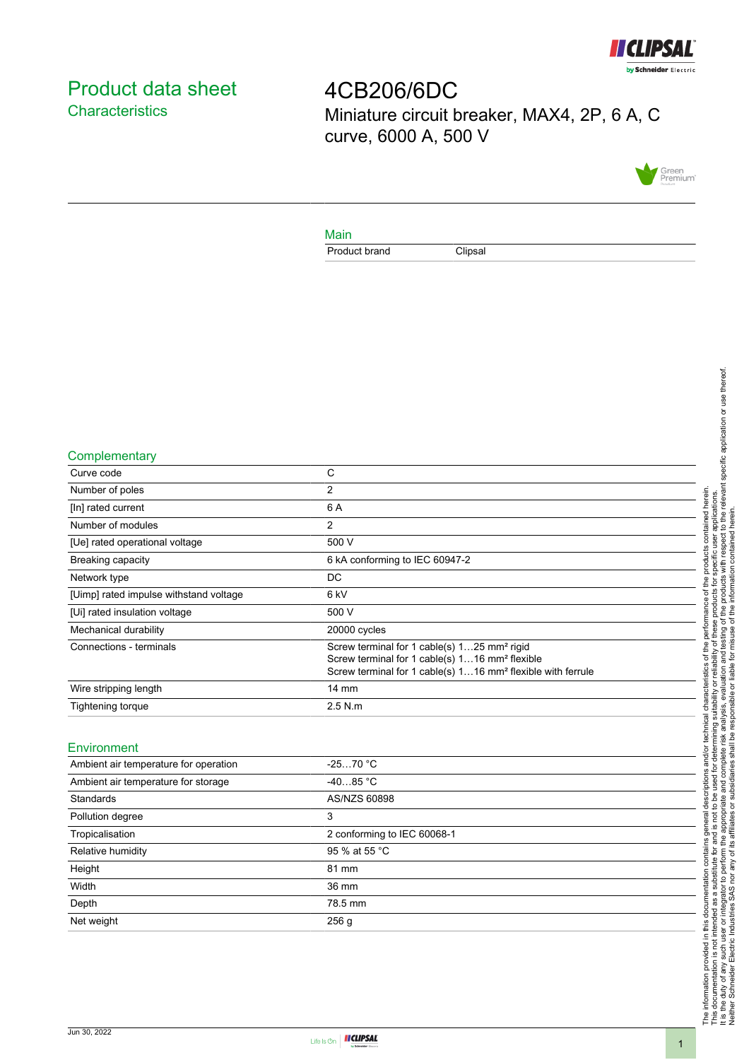

# <span id="page-0-0"></span>Product data sheet **Characteristics**

4CB206/6DC Miniature circuit breaker, MAX4, 2P, 6 A, C curve, 6000 A, 500 V



### Main

Product brand Clipsal

#### **Complementary**

| C                                                                                                                                                                                                |
|--------------------------------------------------------------------------------------------------------------------------------------------------------------------------------------------------|
| 2                                                                                                                                                                                                |
| 6 A                                                                                                                                                                                              |
| 2                                                                                                                                                                                                |
| 500 V                                                                                                                                                                                            |
| 6 kA conforming to IEC 60947-2                                                                                                                                                                   |
| DC.                                                                                                                                                                                              |
| 6 kV                                                                                                                                                                                             |
| 500 V                                                                                                                                                                                            |
| 20000 cycles                                                                                                                                                                                     |
| Screw terminal for 1 cable(s) 125 mm <sup>2</sup> rigid<br>Screw terminal for 1 cable(s) 116 mm <sup>2</sup> flexible<br>Screw terminal for 1 cable(s) 116 mm <sup>2</sup> flexible with ferrule |
| $14 \text{ mm}$                                                                                                                                                                                  |
| $2.5$ N.m                                                                                                                                                                                        |
|                                                                                                                                                                                                  |

#### Environment

| Ambient air temperature for operation | $-2570 °C$                  |  |
|---------------------------------------|-----------------------------|--|
| Ambient air temperature for storage   | $-4085 °C$                  |  |
| Standards                             | AS/NZS 60898                |  |
| Pollution degree                      | 3                           |  |
| Tropicalisation                       | 2 conforming to IEC 60068-1 |  |
| Relative humidity                     | 95 % at 55 °C               |  |
| Height                                | 81 mm                       |  |
| Width                                 | 36 mm                       |  |
| Depth                                 | 78.5 mm                     |  |
| Net weight                            | 256 <sub>g</sub>            |  |
|                                       |                             |  |